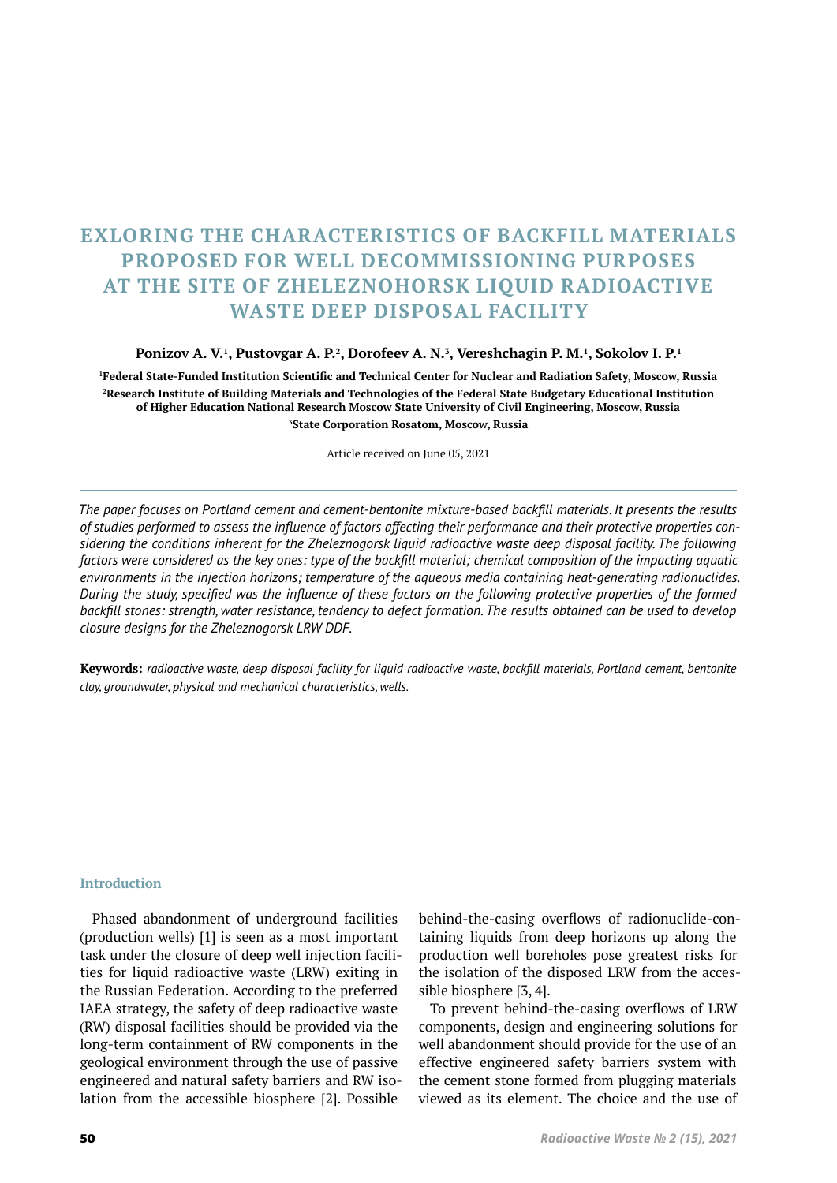# **EXLORING THE CHARACTERISTICS OF BACKFILL MATERIALS PROPOSED FOR WELL DECOMMISSIONING PURPOSES AT THE SITE OF ZHELEZNOHORSK LIQUID RADIOACTIVE WASTE DEEP DISPOSAL FACILITY**

### **Ponizov A. V.<sup>1</sup> , Pustovgar A. P.<sup>2</sup> , Dorofeev A. N.<sup>3</sup> , Vereshchagin P. M.<sup>1</sup> , Sokolov I. P.<sup>1</sup>**

 **Federal State-Funded Institution Scientific and Technical Center for Nuclear and Radiation Safety, Moscow, Russia Research Institute of Building Materials and Technologies of the Federal State Budgetary Educational Institution of Higher Education National Research Moscow State University of Civil Engineering, Moscow, Russia State Corporation Rosatom, Moscow, Russia**

Article received on June 05, 2021

*The paper focuses on Portland cement and cement-bentonite mixture-based backfill materials. It presents the results of studies performed to assess the influence of factors affecting their performance and their protective properties considering the conditions inherent for the Zheleznogorsk liquid radioactive waste deep disposal facility. The following factors were considered as the key ones: type of the backfill material; chemical composition of the impacting aquatic environments in the injection horizons; temperature of the aqueous media containing heat-generating radionuclides. During the study, specified was the influence of these factors on the following protective properties of the formed backfill stones: strength, water resistance, tendency to defect formation. The results obtained can be used to develop closure designs for the Zheleznogorsk LRW DDF.*

**Keywords:** *radioactive waste, deep disposal facility for liquid radioactive waste, backfill materials, Portland cement, bentonite clay, groundwater, physical and mechanical characteristics, wells.*

## **Introduction**

Phased abandonment of underground facilities (production wells) [1] is seen as a most important task under the closure of deep well injection facilities for liquid radioactive waste (LRW) exiting in the Russian Federation. According to the preferred IAEA strategy, the safety of deep radioactive waste (RW) disposal facilities should be provided via the long-term containment of RW components in the geological environment through the use of passive engineered and natural safety barriers and RW isolation from the accessible biosphere [2]. Possible

behind-the-casing overflows of radionuclide-containing liquids from deep horizons up along the production well boreholes pose greatest risks for the isolation of the disposed LRW from the accessible biosphere [3, 4].

To prevent behind-the-casing overflows of LRW components, design and engineering solutions for well abandonment should provide for the use of an effective engineered safety barriers system with the cement stone formed from plugging materials viewed as its element. The choice and the use of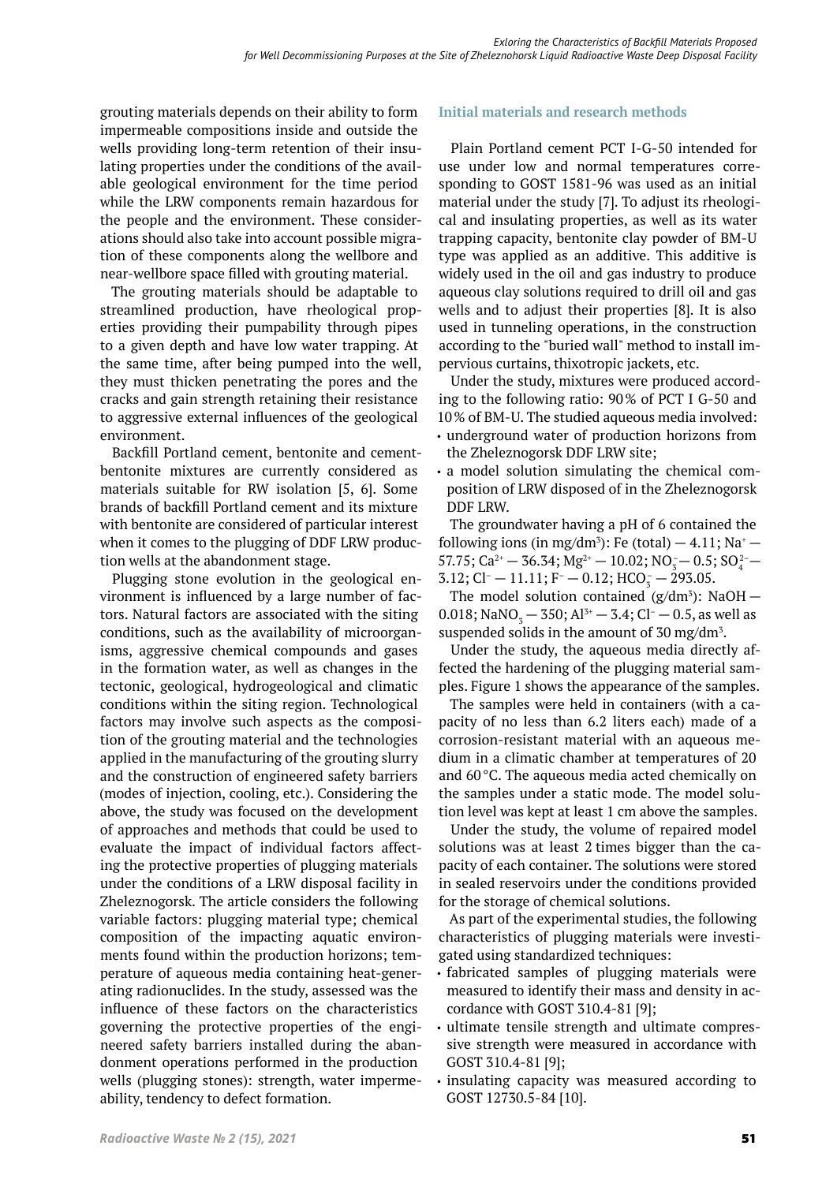grouting materials depends on their ability to form impermeable compositions inside and outside the wells providing long-term retention of their insulating properties under the conditions of the available geological environment for the time period while the LRW components remain hazardous for the people and the environment. These considerations should also take into account possible migration of these components along the wellbore and near-wellbore space filled with grouting material.

The grouting materials should be adaptable to streamlined production, have rheological properties providing their pumpability through pipes to a given depth and have low water trapping. At the same time, after being pumped into the well, they must thicken penetrating the pores and the cracks and gain strength retaining their resistance to aggressive external influences of the geological environment.

Backfill Portland cement, bentonite and cementbentonite mixtures are currently considered as materials suitable for RW isolation [5, 6]. Some brands of backfill Portland cement and its mixture with bentonite are considered of particular interest when it comes to the plugging of DDF LRW production wells at the abandonment stage.

Plugging stone evolution in the geological environment is influenced by a large number of factors. Natural factors are associated with the siting conditions, such as the availability of microorganisms, aggressive chemical compounds and gases in the formation water, as well as changes in the tectonic, geological, hydrogeological and climatic conditions within the siting region. Technological factors may involve such aspects as the composition of the grouting material and the technologies applied in the manufacturing of the grouting slurry and the construction of engineered safety barriers (modes of injection, cooling, etc.). Considering the above, the study was focused on the development of approaches and methods that could be used to evaluate the impact of individual factors affecting the protective properties of plugging materials under the conditions of a LRW disposal facility in Zheleznogorsk. The article considers the following variable factors: plugging material type; chemical composition of the impacting aquatic environments found within the production horizons; temperature of aqueous media containing heat-generating radionuclides. In the study, assessed was the influence of these factors on the characteristics governing the protective properties of the engineered safety barriers installed during the abandonment operations performed in the production wells (plugging stones): strength, water impermeability, tendency to defect formation.

# **Initial materials and research methods**

Plain Portland cement PCT I-G-50 intended for use under low and normal temperatures corresponding to GOST 1581-96 was used as an initial material under the study [7]. To adjust its rheological and insulating properties, as well as its water trapping capacity, bentonite clay powder of BM-U type was applied as an additive. This additive is widely used in the oil and gas industry to produce aqueous clay solutions required to drill oil and gas wells and to adjust their properties [8]. It is also used in tunneling operations, in the construction according to the "buried wall" method to install im‑ pervious curtains, thixotropic jackets, etc.

Under the study, mixtures were produced according to the following ratio: 90% of PCT I G-50 and 10% of BM-U. The studied aqueous media involved:

- underground water of production horizons from the Zheleznogorsk DDF LRW site;
- a model solution simulating the chemical composition of LRW disposed of in the Zheleznogorsk DDF LRW.

The groundwater having a pH of 6 contained the following ions (in mg/dm<sup>3</sup>): Fe (total)  $-4.11$ ; Na<sup>+</sup>  $57.75$ ; Ca<sup>2+</sup> – 36.34; Mg<sup>2+</sup> – 10.02; NO<sub>3</sub> – 0.5; SO<sub>4</sub><sup>2</sup> –  $3.12;$  Cl<sup>-</sup>  $- 11.11;$  F<sup>-</sup>  $- 0.12;$  HCO<sub>3</sub>  $- 293.05.$ 

The model solution contained  $(g/dm^3)$ : NaOH – 0.018; NaNO<sub>3</sub> – 350; Al<sup>3+</sup> – 3.4; Cl<sup>-</sup> – 0.5, as well as suspended solids in the amount of 30 mg/dm<sup>3</sup>.

Under the study, the aqueous media directly affected the hardening of the plugging material samples. Figure 1 shows the appearance of the samples.

The samples were held in containers (with a capacity of no less than 6.2 liters each) made of a corrosion-resistant material with an aqueous me‑ dium in a climatic chamber at temperatures of 20 and 60°C. The aqueous media acted chemically on the samples under a static mode. The model solution level was kept at least 1 cm above the samples.

Under the study, the volume of repaired model solutions was at least 2 times bigger than the capacity of each container. The solutions were stored in sealed reservoirs under the conditions provided for the storage of chemical solutions.

As part of the experimental studies, the following characteristics of plugging materials were investigated using standardized techniques:

- fabricated samples of plugging materials were measured to identify their mass and density in accordance with GOST 310.4-81 [9];
- ultimate tensile strength and ultimate compressive strength were measured in accordance with GOST 310.4-81 [9];
- insulating capacity was measured according to GOST 12730.5-84 [10].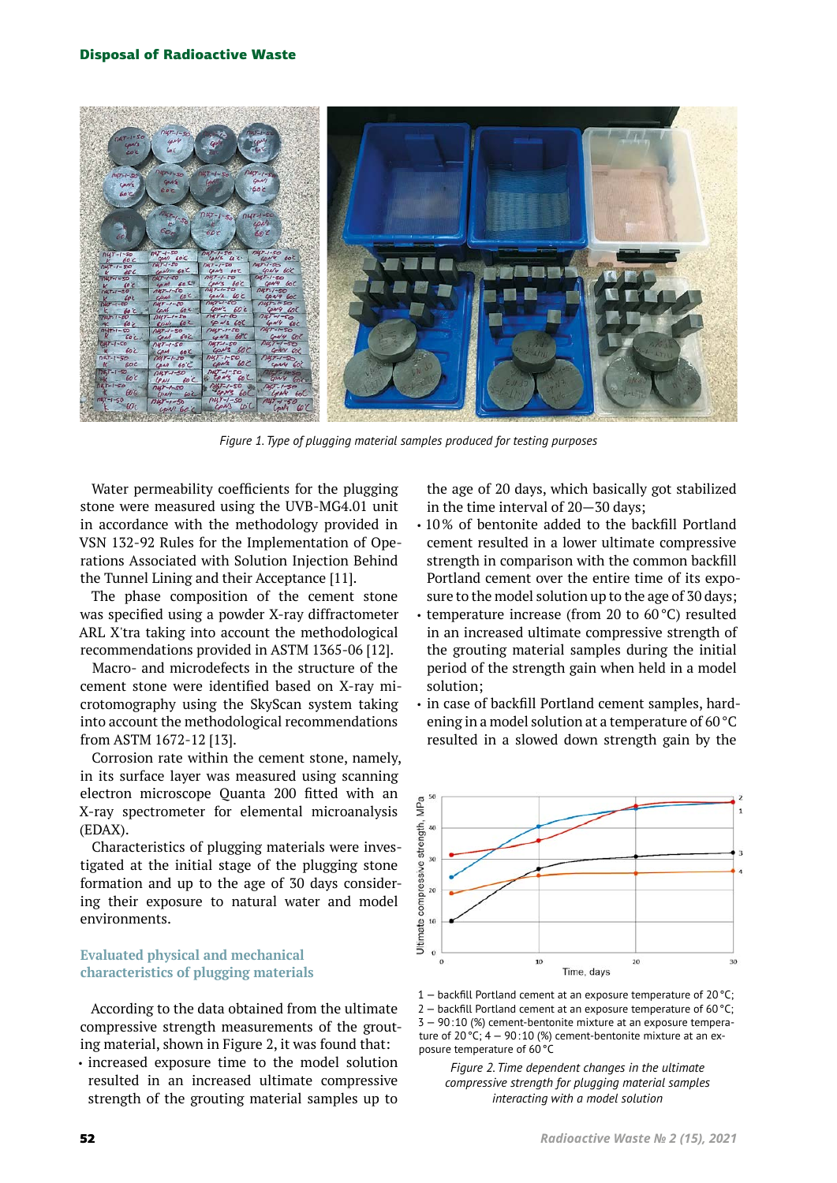

*Figure 1. Type of plugging material samples produced for testing purposes*

Water permeability coefficients for the plugging stone were measured using the UVB-MG4.01 unit in accordance with the methodology provided in VSN 132-92 Rules for the Implementation of Ope‑ rations Associated with Solution Injection Behind the Tunnel Lining and their Acceptance [11].

The phase composition of the cement stone was specified using a powder X-ray diffractometer ARL X'tra taking into account the methodological recommendations provided in ASTM 1365-06 [12].

Macro- and microdefects in the structure of the cement stone were identified based on X-ray microtomography using the SkyScan system taking into account the methodological recommendations from ASTM 1672-12 [13].

Corrosion rate within the cement stone, namely, in its surface layer was measured using scanning electron microscope Quanta 200 fitted with an X-ray spectrometer for elemental microanalysis (EDAX).

Characteristics of plugging materials were investigated at the initial stage of the plugging stone formation and up to the age of 30 days considering their exposure to natural water and model environments.

# **Evaluated physical and mechanical characteristics of plugging materials**

According to the data obtained from the ultimate compressive strength measurements of the grouting material, shown in Figure 2, it was found that:

• increased exposure time to the model solution resulted in an increased ultimate compressive strength of the grouting material samples up to the age of 20 days, which basically got stabilized in the time interval of 20—30 days;

- 10% of bentonite added to the backfill Portland cement resulted in a lower ultimate compressive strength in comparison with the common backfill Portland cement over the entire time of its exposure to the model solution up to the age of 30 days;
- temperature increase (from 20 to 60°C) resulted in an increased ultimate compressive strength of the grouting material samples during the initial period of the strength gain when held in a model solution;
- in case of backfill Portland cement samples, hardening in a model solution at a temperature of 60°C resulted in a slowed down strength gain by the



1 — backfill Portland cement at an exposure temperature of 20°C;  $2 -$  backfill Portland cement at an exposure temperature of 60 °C; 3 — 90:10 (%) cement-bentonite mixture at an exposure temperature of 20 °C;  $4 - 90:10$  (%) cement-bentonite mixture at an exposure temperature of 60°C

*Figure 2. Time dependent changes in the ultimate compressive strength for plugging material samples interacting with a model solution*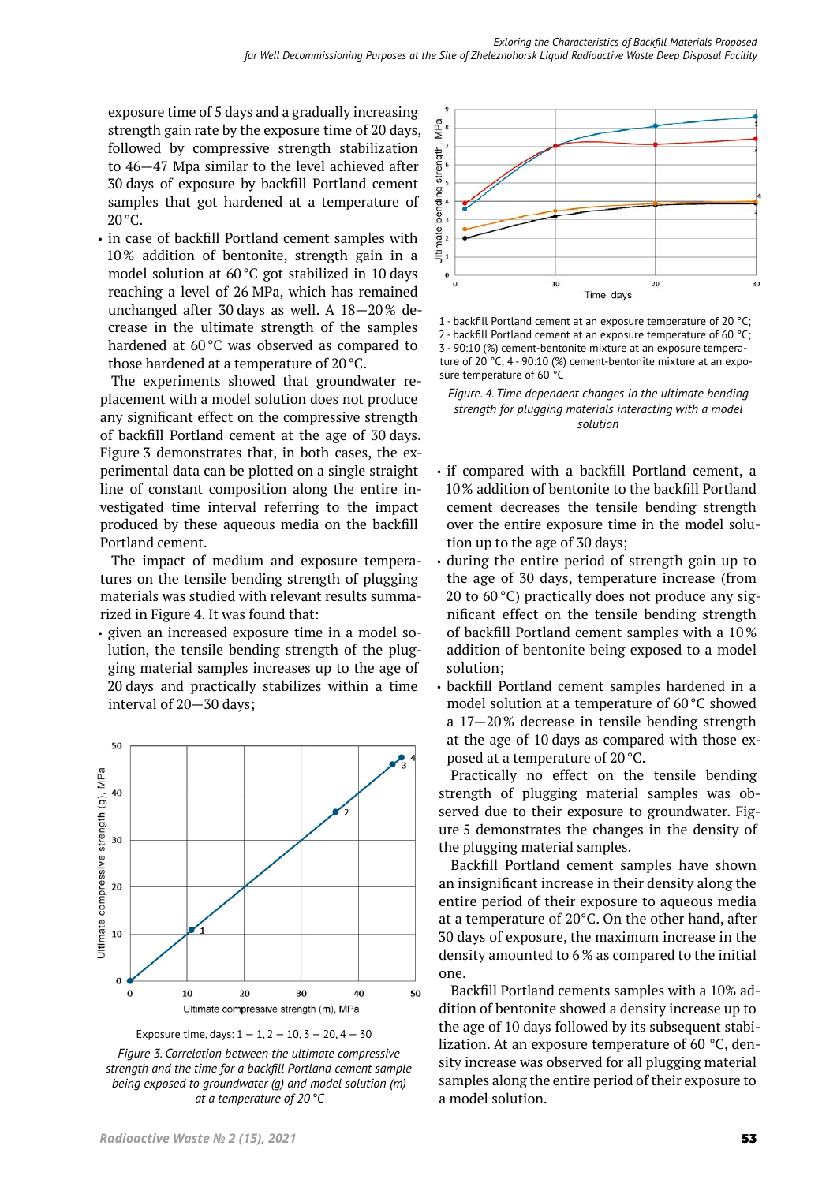exposure time of 5 days and a gradually increasing strength gain rate by the exposure time of 20 days, followed by compressive strength stabilization to 46—47 Mpa similar to the level achieved after 30 days of exposure by backfill Portland cement samples that got hardened at a temperature of 20°C.

• in case of backfill Portland cement samples with 10% addition of bentonite, strength gain in a model solution at 60°C got stabilized in 10 days reaching a level of 26 MPa, which has remained unchanged after 30 days as well. A  $18-20\%$  decrease in the ultimate strength of the samples hardened at 60°C was observed as compared to those hardened at a temperature of 20°C.

The experiments showed that groundwater replacement with a model solution does not produce any significant effect on the compressive strength of backfill Portland cement at the age of 30 days. Figure 3 demonstrates that, in both cases, the experimental data can be plotted on a single straight line of constant composition along the entire investigated time interval referring to the impact produced by these aqueous media on the backfill Portland cement.

The impact of medium and exposure temperatures on the tensile bending strength of plugging materials was studied with relevant results summarized in Figure 4. It was found that:

• given an increased exposure time in a model solution, the tensile bending strength of the plugging material samples increases up to the age of 20 days and practically stabilizes within a time interval of 20—30 days;





*Figure 3. Correlation between the ultimate compressive strength and the time for a backfill Portland cement sample being exposed to groundwater (g) and model solution (m) at a temperature of 20°C*



1 - backfill Portland cement at an exposure temperature of 20 °C; 2 - backfill Portland cement at an exposure temperature of 60 °C; 3 - 90:10 (%) cement-bentonite mixture at an exposure temperature of 20 °C; 4 - 90:10 (%) cement-bentonite mixture at an exposure temperature of 60 °C



- if compared with a backfill Portland cement, a 10% addition of bentonite to the backfill Portland cement decreases the tensile bending strength over the entire exposure time in the model solution up to the age of 30 days;
- during the entire period of strength gain up to the age of 30 days, temperature increase (from 20 to  $60^{\circ}$ C) practically does not produce any significant effect on the tensile bending strength of backfill Portland cement samples with a 10 % addition of bentonite being exposed to a model solution;
- backfill Portland cement samples hardened in a model solution at a temperature of 60°C showed a 17—20% decrease in tensile bending strength at the age of 10 days as compared with those exposed at a temperature of 20°C.

Practically no effect on the tensile bending strength of plugging material samples was observed due to their exposure to groundwater. Figure 5 demonstrates the changes in the density of the plugging material samples.

Backfill Portland cement samples have shown an insignificant increase in their density along the entire period of their exposure to aqueous media at a temperature of 20°C. On the other hand, after 30 days of exposure, the maximum increase in the density amounted to 6 % as compared to the initial one.

Backfill Portland cements samples with a 10% addition of bentonite showed a density increase up to the age of 10 days followed by its subsequent stabilization. At an exposure temperature of 60 °C, density increase was observed for all plugging material samples along the entire period of their exposure to a model solution.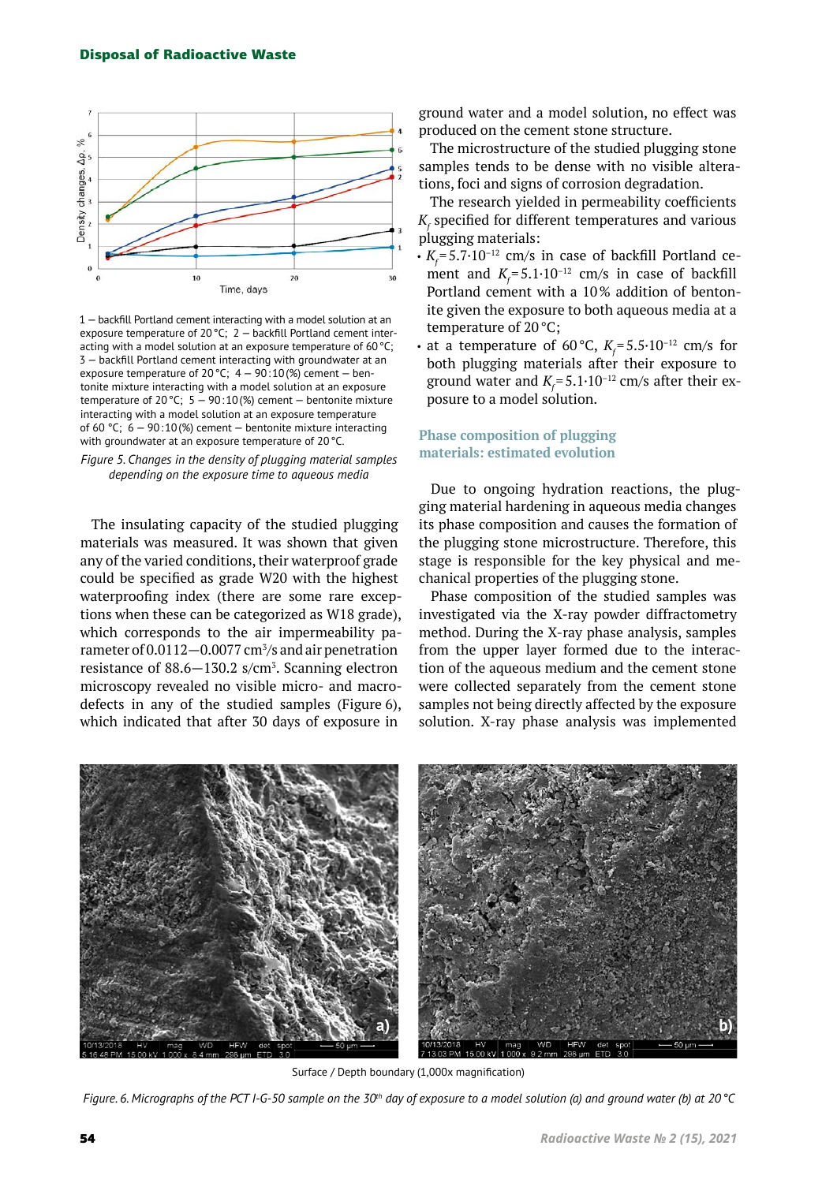

1 — backfill Portland cement interacting with a model solution at an exposure temperature of 20°C; 2 — backfill Portland cement interacting with a model solution at an exposure temperature of 60 °C; 3 — backfill Portland cement interacting with groundwater at an exposure temperature of 20 °C;  $4 - 90:10$  (%) cement  $-$  bentonite mixture interacting with a model solution at an exposure temperature of 20 °C;  $5 - 90:10$  (%) cement - bentonite mixture interacting with a model solution at an exposure temperature of 60 °С; 6 — 90:10(%) cement — bentonite mixture interacting with groundwater at an exposure temperature of 20 °C.

*Figure 5. Changes in the density of plugging material samples depending on the exposure time to aqueous media*

The insulating capacity of the studied plugging materials was measured. It was shown that given any of the varied conditions, their waterproof grade could be specified as grade W20 with the highest waterproofing index (there are some rare exceptions when these can be categorized as W18 grade), which corresponds to the air impermeability parameter of 0.0112—0.0077 cm<sup>3</sup> /s and air penetration resistance of  $88.6 - 130.2$  s/cm<sup>3</sup>. Scanning electron microscopy revealed no visible micro- and macrodefects in any of the studied samples (Figure 6), which indicated that after 30 days of exposure in

ground water and a model solution, no effect was produced on the cement stone structure.

The microstructure of the studied plugging stone samples tends to be dense with no visible alterations, foci and signs of corrosion degradation.

The research yielded in permeability coefficients  $K_f$  specified for different temperatures and various plugging materials:

- $\bm{\cdot}$   $K_{\!\!f}^{}\!\!=\!5.7\!\cdot\!10^{-12}$  cm/s in case of backfill Portland cement and  $K_f$ =5.1·10<sup>-12</sup> cm/s in case of backfill Portland cement with a 10% addition of bentonite given the exposure to both aqueous media at a temperature of 20°C;
- at a temperature of 60 °C,  $K_f = 5.5 \cdot 10^{-12}$  cm/s for both plugging materials after their exposure to ground water and  $K_f^{\,=\,} 5.1{\cdot}10^{\,-12}$  cm/s after their exposure to a model solution.

# **Phase composition of plugging materials: estimated evolution**

Due to ongoing hydration reactions, the plugging material hardening in aqueous media changes its phase composition and causes the formation of the plugging stone microstructure. Therefore, this stage is responsible for the key physical and me‑ chanical properties of the plugging stone.

Phase composition of the studied samples was investigated via the X-ray powder diffractometry method. During the X-ray phase analysis, samples from the upper layer formed due to the interaction of the aqueous medium and the cement stone were collected separately from the cement stone samples not being directly affected by the exposure solution. X-ray phase analysis was implemented



Surface / Depth boundary (1,000x magnification)

*Figure. 6. Micrographs of the PCT I-G-50 sample on the 30th day of exposure to a model solution (a) and ground water (b) at 20°С*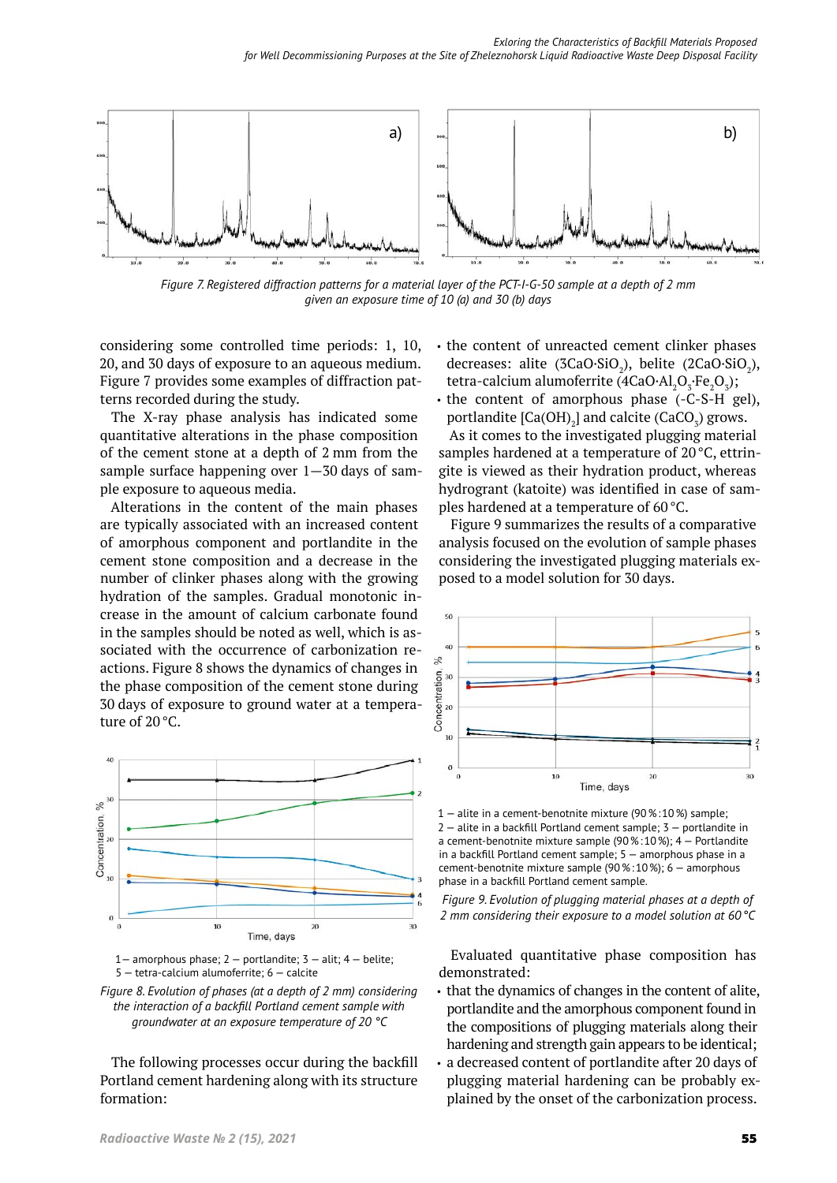

*Figure 7. Registered diffraction patterns for a material layer of the PCT-I-G-50 sample at a depth of 2 mm given an exposure time of 10 (a) and 30 (b) days*

considering some controlled time periods: 1, 10, 20, and 30 days of exposure to an aqueous medium. Figure 7 provides some examples of diffraction patterns recorded during the study.

The X-ray phase analysis has indicated some quantitative alterations in the phase composition of the cement stone at a depth of 2 mm from the sample surface happening over  $1-30$  days of sample exposure to aqueous media.

Alterations in the content of the main phases are typically associated with an increased content of amorphous component and portlandite in the cement stone composition and a decrease in the number of clinker phases along with the growing hydration of the samples. Gradual monotonic increase in the amount of calcium carbonate found in the samples should be noted as well, which is associated with the occurrence of carbonization reactions. Figure 8 shows the dynamics of changes in the phase composition of the cement stone during 30 days of exposure to ground water at a tempera‑ ture of 20°C.





*Figure 8. Evolution of phases (at a depth of 2 mm) considering the interaction of a backfill Portland cement sample with groundwater at an exposure temperature of 20 °C*

The following processes occur during the backfill Portland cement hardening along with its structure formation:

- the content of unreacted cement clinker phases decreases: alite (3CaO·SiO<sub>2</sub>), belite (2CaO·SiO<sub>2</sub>), tetra-calcium alumoferrite (4CaO·Al<sub>2</sub>O<sub>3</sub>·Fe<sub>2</sub>O<sub>3</sub>);
- the content of amorphous phase (-C-S-H gel), portlandite  $\text{[Ca(OH)}_{2}\text{]}$  and calcite (CaCO<sub>3</sub>) grows.

As it comes to the investigated plugging material samples hardened at a temperature of  $20^{\circ}$ C, ettringite is viewed as their hydration product, whereas hydrogrant (katoite) was identified in case of samples hardened at a temperature of 60°C.

Figure 9 summarizes the results of a comparative analysis focused on the evolution of sample phases considering the investigated plugging materials exposed to a model solution for 30 days.



1 — alite in a cement-benotnite mixture (90%:10%) sample; 2 — alite in a backfill Portland cement sample; 3 — portlandite in a cement-benotnite mixture sample (90%:10%); 4 — Portlandite in a backfill Portland cement sample; 5 — amorphous phase in a cement-benotnite mixture sample (90%:10%); 6 — amorphous phase in a backfill Portland cement sample.

*Figure 9. Evolution of plugging material phases at a depth of 2 mm considering their exposure to a model solution at 60°С*

Evaluated quantitative phase composition has demonstrated:

- that the dynamics of changes in the content of alite, portlandite and the amorphous component found in the compositions of plugging materials along their hardening and strength gain appears to be identical;
- a decreased content of portlandite after 20 days of plugging material hardening can be probably explained by the onset of the carbonization process.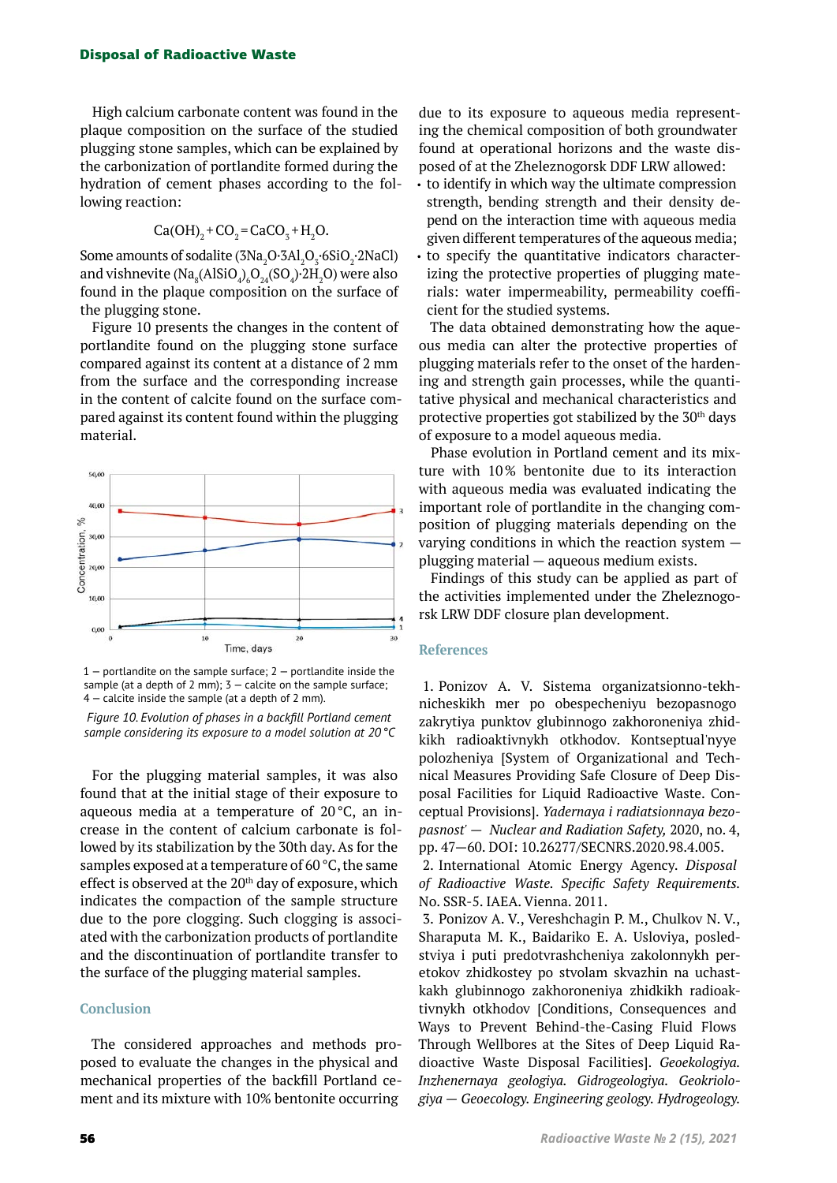#### Disposal of Radioactive Waste

High calcium carbonate content was found in the plaque composition on the surface of the studied plugging stone samples, which can be explained by the carbonization of portlandite formed during the hydration of cement phases according to the following reaction:

$$
Ca(OH)2 + CO2 = CaCO3 + H2O.
$$

Some amounts of sodalite  $(3Na<sub>2</sub>O·3Al<sub>2</sub>O<sub>3</sub>·6SiO<sub>2</sub>·2NaCl)$ and vishnevite (Na $_{8}$ (AlSiO $_{4}$ ) $_{6}$ O $_{24}$ (SO $_{4}$ ) $\cdot$ 2H $_{2}$ O) were also found in the plaque composition on the surface of the plugging stone.

Figure 10 presents the changes in the content of portlandite found on the plugging stone surface compared against its content at a distance of 2 mm from the surface and the corresponding increase in the content of calcite found on the surface compared against its content found within the plugging material.



 $1$  – portlandite on the sample surface:  $2$  – portlandite inside the sample (at a depth of 2 mm);  $3 -$  calcite on the sample surface; 4 — calcite inside the sample (at a depth of 2 mm).

*Figure 10. Evolution of phases in a backfill Portland cement sample considering its exposure to a model solution at 20°C*

For the plugging material samples, it was also found that at the initial stage of their exposure to aqueous media at a temperature of 20 °C, an increase in the content of calcium carbonate is followed by its stabilization by the 30th day. As for the samples exposed at a temperature of 60°C, the same effect is observed at the 20<sup>th</sup> day of exposure, which indicates the compaction of the sample structure due to the pore clogging. Such clogging is associated with the carbonization products of portlandite and the discontinuation of portlandite transfer to the surface of the plugging material samples.

#### **Conclusion**

The considered approaches and methods proposed to evaluate the changes in the physical and mechanical properties of the backfill Portland cement and its mixture with 10% bentonite occurring

due to its exposure to aqueous media representing the chemical composition of both groundwater found at operational horizons and the waste disposed of at the Zheleznogorsk DDF LRW allowed:

- to identify in which way the ultimate compression strength, bending strength and their density depend on the interaction time with aqueous media given different temperatures of the aqueous media;
- to specify the quantitative indicators characterizing the protective properties of plugging materials: water impermeability, permeability coefficient for the studied systems.

The data obtained demonstrating how the aqueous media can alter the protective properties of plugging materials refer to the onset of the hardening and strength gain processes, while the quantitative physical and mechanical characteristics and protective properties got stabilized by the  $30<sup>th</sup>$  days of exposure to a model aqueous media.

Phase evolution in Portland cement and its mixture with 10% bentonite due to its interaction with aqueous media was evaluated indicating the important role of portlandite in the changing composition of plugging materials depending on the varying conditions in which the reaction system plugging material — aqueous medium exists.

Findings of this study can be applied as part of the activities implemented under the Zheleznogorsk LRW DDF closure plan development.

#### **References**

1. Ponizov A. V. Sistema organizatsionno-tekhnicheskikh mer po obespecheniyu bezopasnogo zakrytiya punktov glubinnogo zakhoroneniya zhidkikh radioaktivnykh otkhodov. Kontseptual'nyye polozheniya [System of Organizational and Technical Measures Providing Safe Closure of Deep Dis‑ posal Facilities for Liquid Radioactive Waste. Conceptual Provisions].*Yadernaya i radiatsionnaya bezopasnost' — Nuclear and Radiation Safety,* 2020, no. 4, pp. 47—60. DOI: 10.26277/SECNRS.2020.98.4.005.

2. International Atomic Energy Agency.*Disposal of Radioactive Waste. Specific Safety Requirements.*  No. SSR-5. IAEA. Vienna. 2011.

3. Ponizov A. V., Vereshchagin P. M., Chulkov N. V., Sharaputa M. K., Baidariko E. A. Usloviya, posledstviya i puti predotvrashcheniya zakolonnykh peretokov zhidkostey po stvolam skvazhin na uchastkakh glubinnogo zakhoroneniya zhidkikh radioaktivnykh otkhodov [Conditions, Consequences and Ways to Prevent Behind-the-Casing Fluid Flows Through Wellbores at the Sites of Deep Liquid Ra‑ dioactive Waste Disposal Facilities].*Geoekologiya. Inzhenernaya geologiya. Gidrogeologiya. Geokriologiya — Geoecology. Engineering geology. Hydrogeology.*